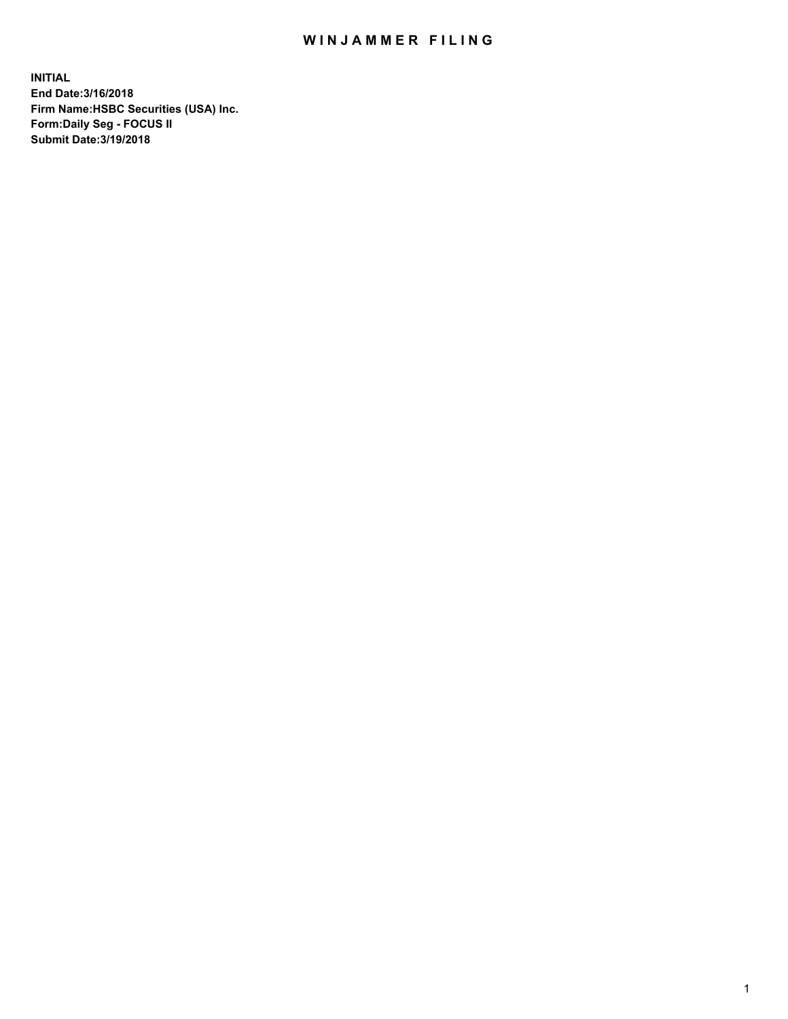## WIN JAMMER FILING

**INITIAL End Date:3/16/2018 Firm Name:HSBC Securities (USA) Inc. Form:Daily Seg - FOCUS II Submit Date:3/19/2018**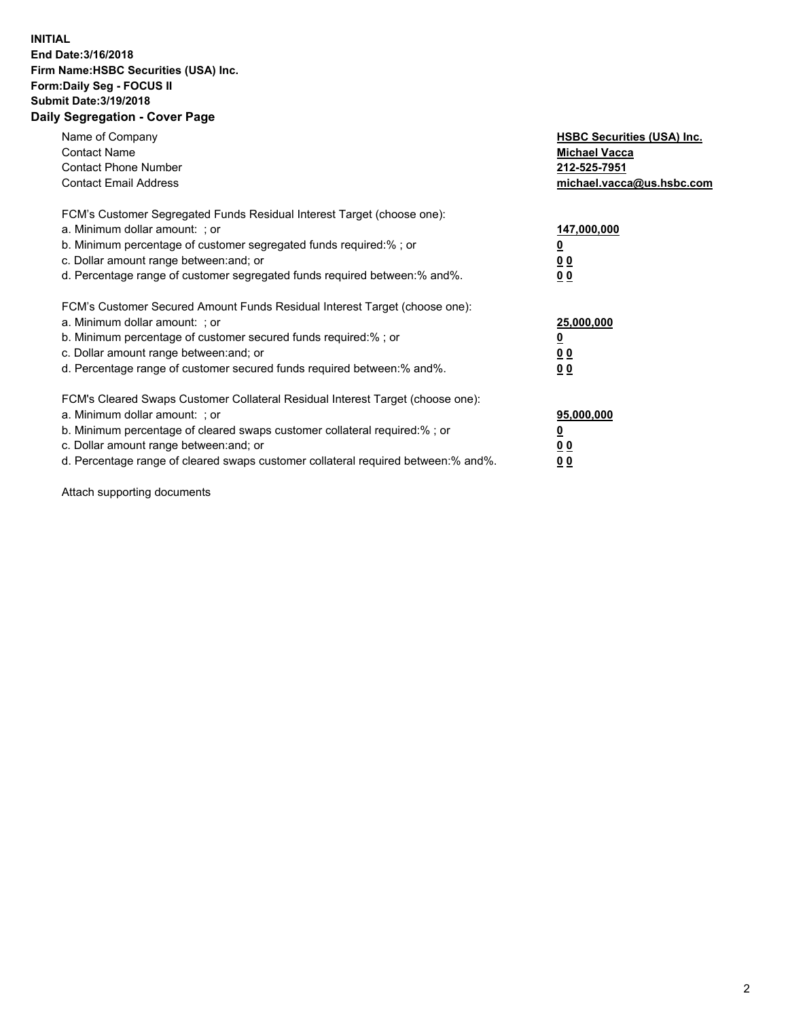## **INITIAL End Date:3/16/2018 Firm Name:HSBC Securities (USA) Inc. Form:Daily Seg - FOCUS II Submit Date:3/19/2018 Daily Segregation - Cover Page**

| Name of Company<br><b>Contact Name</b><br><b>Contact Phone Number</b><br><b>Contact Email Address</b>                                                                                                                                                                                                                         | <b>HSBC Securities (USA) Inc.</b><br><b>Michael Vacca</b><br>212-525-7951<br>michael.vacca@us.hsbc.com |
|-------------------------------------------------------------------------------------------------------------------------------------------------------------------------------------------------------------------------------------------------------------------------------------------------------------------------------|--------------------------------------------------------------------------------------------------------|
| FCM's Customer Segregated Funds Residual Interest Target (choose one):<br>a. Minimum dollar amount: ; or<br>b. Minimum percentage of customer segregated funds required:%; or<br>c. Dollar amount range between: and; or<br>d. Percentage range of customer segregated funds required between: % and %.                       | 147,000,000<br><u>0</u><br><u>00</u><br>00                                                             |
| FCM's Customer Secured Amount Funds Residual Interest Target (choose one):<br>a. Minimum dollar amount: ; or<br>b. Minimum percentage of customer secured funds required:%; or<br>c. Dollar amount range between: and; or<br>d. Percentage range of customer secured funds required between: % and %.                         | 25,000,000<br><u>0</u><br><u>00</u><br>00                                                              |
| FCM's Cleared Swaps Customer Collateral Residual Interest Target (choose one):<br>a. Minimum dollar amount: ; or<br>b. Minimum percentage of cleared swaps customer collateral required:%; or<br>c. Dollar amount range between: and; or<br>d. Percentage range of cleared swaps customer collateral required between:% and%. | 95,000,000<br><u>0</u><br><u>00</u><br><u>00</u>                                                       |

Attach supporting documents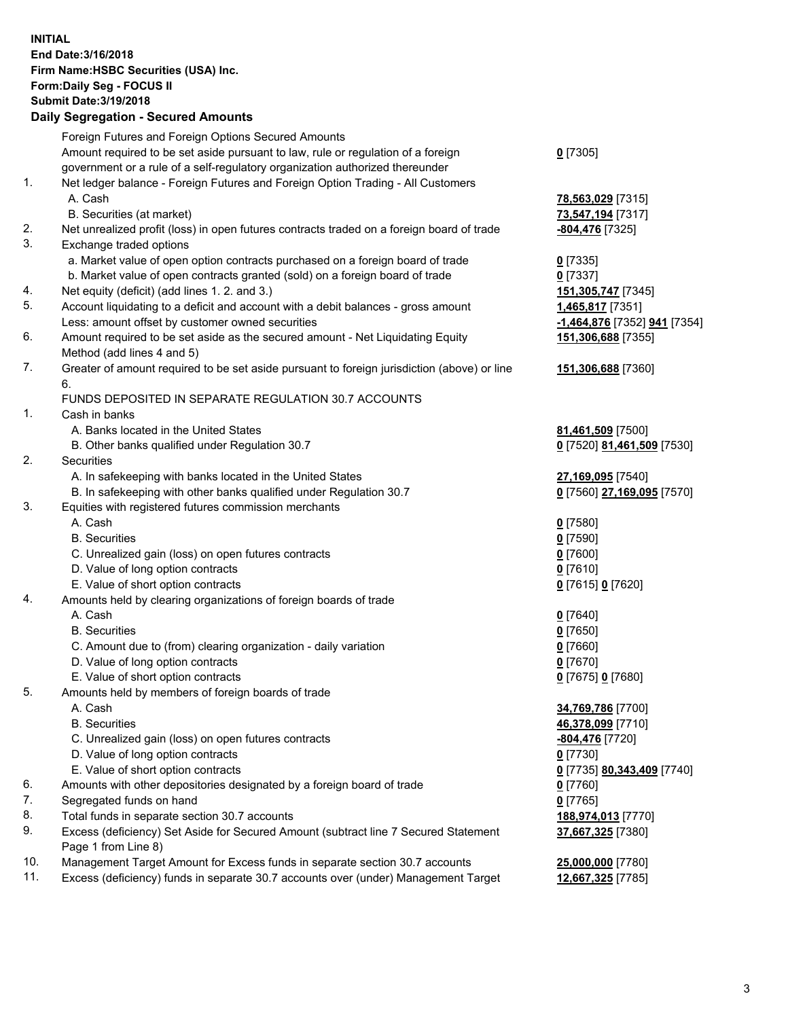**INITIAL End Date:3/16/2018 Firm Name:HSBC Securities (USA) Inc. Form:Daily Seg - FOCUS II Submit Date:3/19/2018 Daily Segregation - Secured Amounts**

|     | Dany Ocgregation - Oceanea Amounts                                                          |                              |
|-----|---------------------------------------------------------------------------------------------|------------------------------|
|     | Foreign Futures and Foreign Options Secured Amounts                                         |                              |
|     | Amount required to be set aside pursuant to law, rule or regulation of a foreign            | $0$ [7305]                   |
|     | government or a rule of a self-regulatory organization authorized thereunder                |                              |
| 1.  | Net ledger balance - Foreign Futures and Foreign Option Trading - All Customers             |                              |
|     | A. Cash                                                                                     | 78,563,029 [7315]            |
|     | B. Securities (at market)                                                                   | 73,547,194 [7317]            |
| 2.  | Net unrealized profit (loss) in open futures contracts traded on a foreign board of trade   | <u>-804,476</u> [7325]       |
| 3.  | Exchange traded options                                                                     |                              |
|     | a. Market value of open option contracts purchased on a foreign board of trade              | $0$ [7335]                   |
|     | b. Market value of open contracts granted (sold) on a foreign board of trade                | $0$ [7337]                   |
| 4.  | Net equity (deficit) (add lines 1.2. and 3.)                                                | 151, 305, 747 [7345]         |
| 5.  | Account liquidating to a deficit and account with a debit balances - gross amount           | 1,465,817 [7351]             |
|     | Less: amount offset by customer owned securities                                            | -1,464,876 [7352] 941 [7354] |
| 6.  | Amount required to be set aside as the secured amount - Net Liquidating Equity              | 151,306,688 [7355]           |
|     | Method (add lines 4 and 5)                                                                  |                              |
| 7.  | Greater of amount required to be set aside pursuant to foreign jurisdiction (above) or line | 151,306,688 [7360]           |
|     | 6.                                                                                          |                              |
|     | FUNDS DEPOSITED IN SEPARATE REGULATION 30.7 ACCOUNTS                                        |                              |
| 1.  | Cash in banks                                                                               |                              |
|     | A. Banks located in the United States                                                       | 81,461,509 [7500]            |
|     | B. Other banks qualified under Regulation 30.7                                              | 0 [7520] 81,461,509 [7530]   |
| 2.  | Securities                                                                                  |                              |
|     | A. In safekeeping with banks located in the United States                                   | 27,169,095 [7540]            |
|     | B. In safekeeping with other banks qualified under Regulation 30.7                          | 0 [7560] 27,169,095 [7570]   |
| 3.  | Equities with registered futures commission merchants                                       |                              |
|     | A. Cash                                                                                     | $0$ [7580]                   |
|     | <b>B.</b> Securities                                                                        | $0$ [7590]                   |
|     | C. Unrealized gain (loss) on open futures contracts                                         | $0$ [7600]                   |
|     | D. Value of long option contracts                                                           | $0$ [7610]                   |
|     | E. Value of short option contracts                                                          |                              |
| 4.  | Amounts held by clearing organizations of foreign boards of trade                           | 0 [7615] 0 [7620]            |
|     | A. Cash                                                                                     |                              |
|     |                                                                                             | $0$ [7640]                   |
|     | <b>B.</b> Securities                                                                        | $0$ [7650]                   |
|     | C. Amount due to (from) clearing organization - daily variation                             | $0$ [7660]                   |
|     | D. Value of long option contracts                                                           | $0$ [7670]                   |
|     | E. Value of short option contracts                                                          | 0 [7675] 0 [7680]            |
| 5.  | Amounts held by members of foreign boards of trade                                          |                              |
|     | A. Cash                                                                                     | 34,769,786 [7700]            |
|     | <b>B.</b> Securities                                                                        | 46,378,099 [7710]            |
|     | C. Unrealized gain (loss) on open futures contracts                                         | <u>-804,476</u> [7720]       |
|     | D. Value of long option contracts                                                           | $0$ [7730]                   |
|     | E. Value of short option contracts                                                          | 0 [7735] 80,343,409 [7740]   |
| 6.  | Amounts with other depositories designated by a foreign board of trade                      | 0 [7760]                     |
| 7.  | Segregated funds on hand                                                                    | $0$ [7765]                   |
| 8.  | Total funds in separate section 30.7 accounts                                               | 188,974,013 [7770]           |
| 9.  | Excess (deficiency) Set Aside for Secured Amount (subtract line 7 Secured Statement         | 37,667,325 [7380]            |
|     | Page 1 from Line 8)                                                                         |                              |
| 10. | Management Target Amount for Excess funds in separate section 30.7 accounts                 | 25,000,000 [7780]            |
| 11. | Excess (deficiency) funds in separate 30.7 accounts over (under) Management Target          | 12,667,325 [7785]            |
|     |                                                                                             |                              |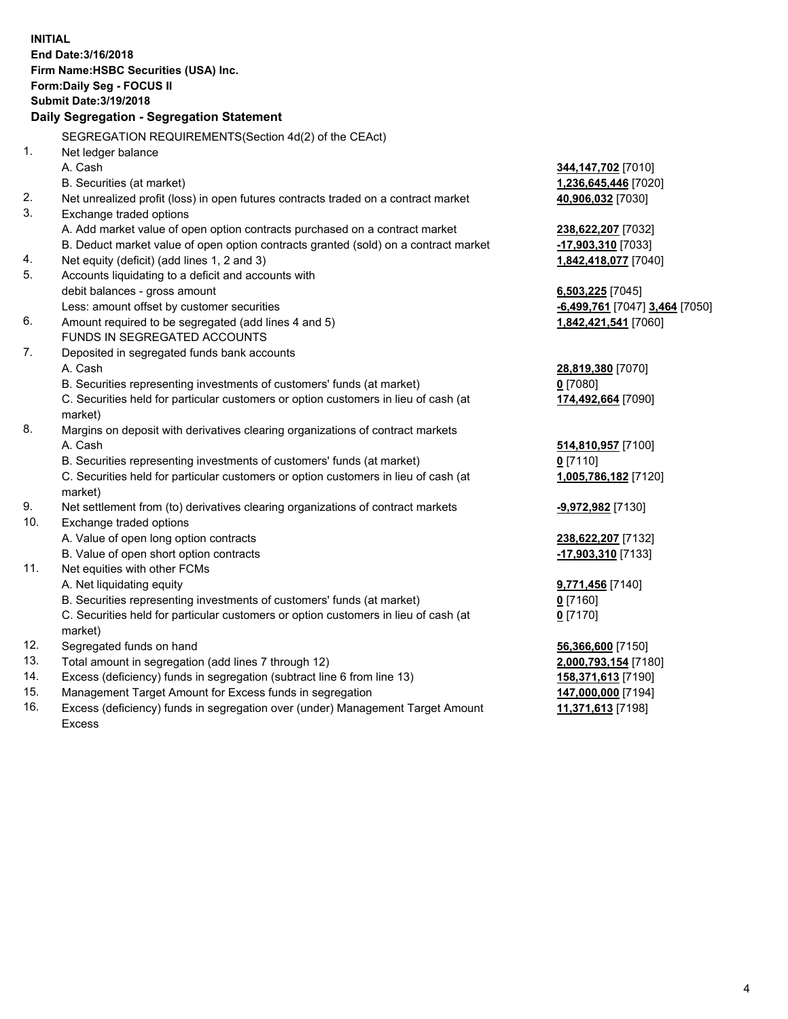**INITIAL End Date:3/16/2018 Firm Name:HSBC Securities (USA) Inc. Form:Daily Seg - FOCUS II Submit Date:3/19/2018 Daily Segregation - Segregation Statement** SEGREGATION REQUIREMENTS(Section 4d(2) of the CEAct) 1. Net ledger balance A. Cash **344,147,702** [7010] B. Securities (at market) **1,236,645,446** [7020] 2. Net unrealized profit (loss) in open futures contracts traded on a contract market **40,906,032** [7030] 3. Exchange traded options A. Add market value of open option contracts purchased on a contract market **238,622,207** [7032] B. Deduct market value of open option contracts granted (sold) on a contract market **-17,903,310** [7033] 4. Net equity (deficit) (add lines 1, 2 and 3) **1,842,418,077** [7040] 5. Accounts liquidating to a deficit and accounts with debit balances - gross amount **6,503,225** [7045] Less: amount offset by customer securities **and the securities -6,499,761** [7047] **3,464** [7050] 6. Amount required to be segregated (add lines 4 and 5) **1,842,421,541** [7060] FUNDS IN SEGREGATED ACCOUNTS 7. Deposited in segregated funds bank accounts A. Cash **28,819,380** [7070] B. Securities representing investments of customers' funds (at market) **0** [7080] C. Securities held for particular customers or option customers in lieu of cash (at market) **174,492,664** [7090] 8. Margins on deposit with derivatives clearing organizations of contract markets A. Cash **514,810,957** [7100] B. Securities representing investments of customers' funds (at market) **0** [7110] C. Securities held for particular customers or option customers in lieu of cash (at market) **1,005,786,182** [7120] 9. Net settlement from (to) derivatives clearing organizations of contract markets **-9,972,982** [7130] 10. Exchange traded options A. Value of open long option contracts **238,622,207** [7132] B. Value of open short option contracts **-17,903,310** [7133] 11. Net equities with other FCMs A. Net liquidating equity **9,771,456** [7140] B. Securities representing investments of customers' funds (at market) **0** [7160] C. Securities held for particular customers or option customers in lieu of cash (at market) **0** [7170] 12. Segregated funds on hand **56,366,600** [7150] 13. Total amount in segregation (add lines 7 through 12) **2,000,793,154** [7180] 14. Excess (deficiency) funds in segregation (subtract line 6 from line 13) **158,371,613** [7190] 15. Management Target Amount for Excess funds in segregation **147,000,000** [7194]

16. Excess (deficiency) funds in segregation over (under) Management Target Amount Excess

**11,371,613** [7198]